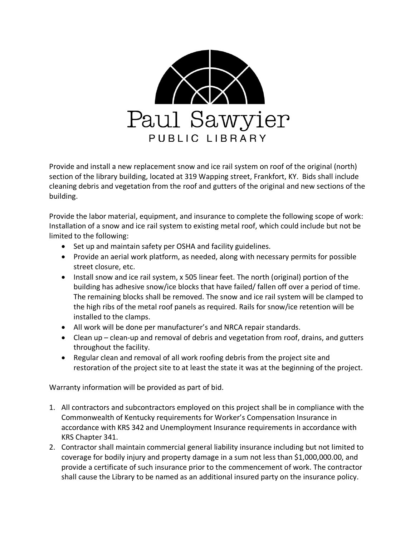

Provide and install a new replacement snow and ice rail system on roof of the original (north) section of the library building, located at 319 Wapping street, Frankfort, KY. Bids shall include cleaning debris and vegetation from the roof and gutters of the original and new sections of the building.

Provide the labor material, equipment, and insurance to complete the following scope of work: Installation of a snow and ice rail system to existing metal roof, which could include but not be limited to the following:

- Set up and maintain safety per OSHA and facility guidelines.
- Provide an aerial work platform, as needed, along with necessary permits for possible street closure, etc.
- Install snow and ice rail system, x 505 linear feet. The north (original) portion of the building has adhesive snow/ice blocks that have failed/ fallen off over a period of time. The remaining blocks shall be removed. The snow and ice rail system will be clamped to the high ribs of the metal roof panels as required. Rails for snow/ice retention will be installed to the clamps.
- All work will be done per manufacturer's and NRCA repair standards.
- Clean up clean-up and removal of debris and vegetation from roof, drains, and gutters throughout the facility.
- Regular clean and removal of all work roofing debris from the project site and restoration of the project site to at least the state it was at the beginning of the project.

Warranty information will be provided as part of bid.

- 1. All contractors and subcontractors employed on this project shall be in compliance with the Commonwealth of Kentucky requirements for Worker's Compensation Insurance in accordance with KRS 342 and Unemployment Insurance requirements in accordance with KRS Chapter 341.
- 2. Contractor shall maintain commercial general liability insurance including but not limited to coverage for bodily injury and property damage in a sum not less than \$1,000,000.00, and provide a certificate of such insurance prior to the commencement of work. The contractor shall cause the Library to be named as an additional insured party on the insurance policy.